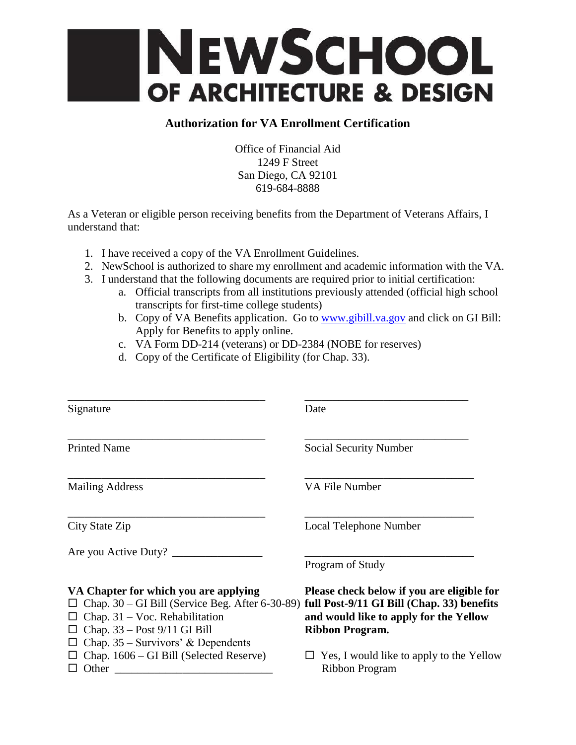

## **Authorization for VA Enrollment Certification**

Office of Financial Aid 1249 F Street San Diego, CA 92101 619-684-8888

As a Veteran or eligible person receiving benefits from the Department of Veterans Affairs, I understand that:

- 1. I have received a copy of the VA Enrollment Guidelines.
- 2. NewSchool is authorized to share my enrollment and academic information with the VA.
- 3. I understand that the following documents are required prior to initial certification:
	- a. Official transcripts from all institutions previously attended (official high school transcripts for first-time college students)
		- b. Copy of VA Benefits application. Go to [www.gibill.va.gov](http://www.gibill.va.gov/) and click on GI Bill: Apply for Benefits to apply online.
		- c. VA Form DD-214 (veterans) or DD-2384 (NOBE for reserves)
		- d. Copy of the Certificate of Eligibility (for Chap. 33).

| Signature                                                                                                                                                                                                       | Date                                                                                                           |
|-----------------------------------------------------------------------------------------------------------------------------------------------------------------------------------------------------------------|----------------------------------------------------------------------------------------------------------------|
| <b>Printed Name</b>                                                                                                                                                                                             | Social Security Number                                                                                         |
| <b>Mailing Address</b>                                                                                                                                                                                          | VA File Number                                                                                                 |
| City State Zip                                                                                                                                                                                                  | Local Telephone Number                                                                                         |
| Are you Active Duty?                                                                                                                                                                                            | Program of Study                                                                                               |
| VA Chapter for which you are applying<br>Chap. 30 – GI Bill (Service Beg. After 6-30-89) full Post-9/11 GI Bill (Chap. 33) benefits<br>Chap. $31 - \text{Voc}$ . Rehabilitation<br>Chap. 33 – Post 9/11 GI Bill | Please check below if you are eligible for<br>and would like to apply for the Yellow<br><b>Ribbon Program.</b> |
| Chap. $35$ – Survivors' & Dependents<br>Chap. 1606 – GI Bill (Selected Reserve)<br>Other                                                                                                                        | Yes, I would like to apply to the Yellow<br><b>Ribbon Program</b>                                              |